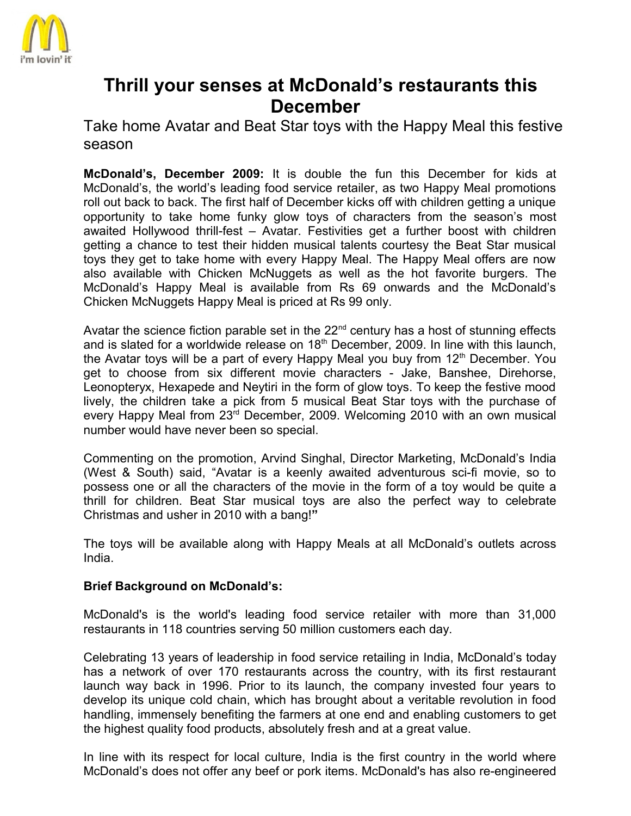

## **Thrill your senses at McDonald's restaurants this December**

Take home Avatar and Beat Star toys with the Happy Meal this festive season

**McDonald's, December 2009:** It is double the fun this December for kids at McDonald's, the world's leading food service retailer, as two Happy Meal promotions roll out back to back. The first half of December kicks off with children getting a unique opportunity to take home funky glow toys of characters from the season's most awaited Hollywood thrill-fest – Avatar. Festivities get a further boost with children getting a chance to test their hidden musical talents courtesy the Beat Star musical toys they get to take home with every Happy Meal. The Happy Meal offers are now also available with Chicken McNuggets as well as the hot favorite burgers. The McDonald's Happy Meal is available from Rs 69 onwards and the McDonald's Chicken McNuggets Happy Meal is priced at Rs 99 only.

Avatar the science fiction parable set in the  $22<sup>nd</sup>$  century has a host of stunning effects and is slated for a worldwide release on  $18<sup>th</sup>$  December, 2009. In line with this launch, the Avatar toys will be a part of every Happy Meal you buy from  $12<sup>th</sup>$  December. You get to choose from six different movie characters - Jake, Banshee, Direhorse, Leonopteryx, Hexapede and Neytiri in the form of glow toys. To keep the festive mood lively, the children take a pick from 5 musical Beat Star toys with the purchase of every Happy Meal from 23<sup>rd</sup> December, 2009. Welcoming 2010 with an own musical number would have never been so special.

Commenting on the promotion, Arvind Singhal, Director Marketing, McDonald's India (West & South) said, "Avatar is a keenly awaited adventurous sci-fi movie, so to possess one or all the characters of the movie in the form of a toy would be quite a thrill for children. Beat Star musical toys are also the perfect way to celebrate Christmas and usher in 2010 with a bang!**"**

The toys will be available along with Happy Meals at all McDonald's outlets across India.

## **Brief Background on McDonald's:**

McDonald's is the world's leading food service retailer with more than 31,000 restaurants in 118 countries serving 50 million customers each day.

Celebrating 13 years of leadership in food service retailing in India, McDonald's today has a network of over 170 restaurants across the country, with its first restaurant launch way back in 1996. Prior to its launch, the company invested four years to develop its unique cold chain, which has brought about a veritable revolution in food handling, immensely benefiting the farmers at one end and enabling customers to get the highest quality food products, absolutely fresh and at a great value.

In line with its respect for local culture, India is the first country in the world where McDonald's does not offer any beef or pork items. McDonald's has also re-engineered